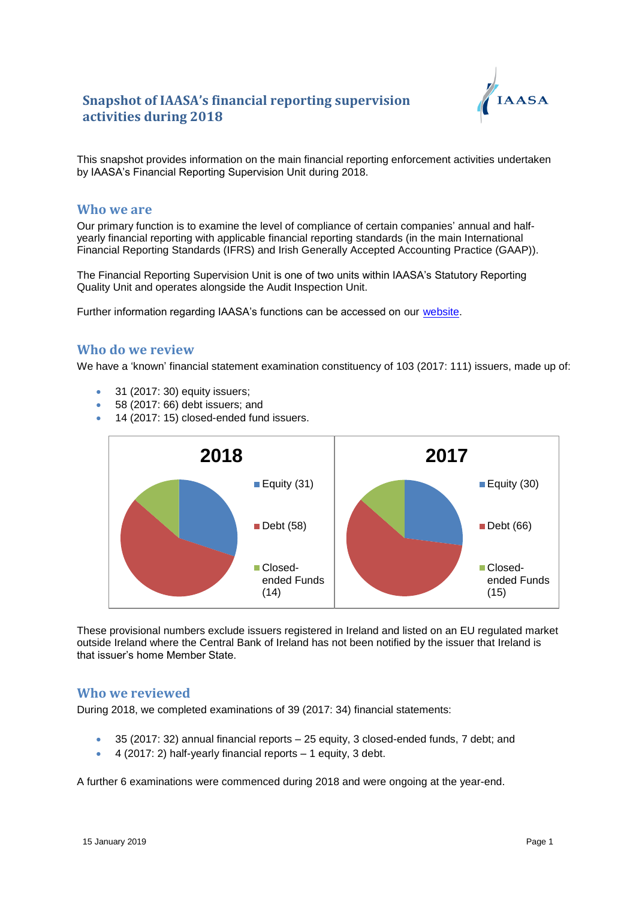

This snapshot provides information on the main financial reporting enforcement activities undertaken by IAASA's Financial Reporting Supervision Unit during 2018.

#### **Who we are**

Our primary function is to examine the level of compliance of certain companies' annual and halfyearly financial reporting with applicable financial reporting standards (in the main International Financial Reporting Standards (IFRS) and Irish Generally Accepted Accounting Practice (GAAP)).

The Financial Reporting Supervision Unit is one of two units within IAASA's Statutory Reporting Quality Unit and operates alongside the Audit Inspection Unit.

Further information regarding IAASA's functions can be accessed on our [website.](http://www.iaasa.ie/)

#### **Who do we review**

We have a 'known' financial statement examination constituency of 103 (2017: 111) issuers, made up of:

- 31 (2017: 30) equity issuers;
- 58 (2017: 66) debt issuers; and
- 14 (2017: 15) closed-ended fund issuers.



These provisional numbers exclude issuers registered in Ireland and listed on an EU regulated market outside Ireland where the Central Bank of Ireland has not been notified by the issuer that Ireland is that issuer's home Member State.

### **Who we reviewed**

During 2018, we completed examinations of 39 (2017: 34) financial statements:

- 35 (2017: 32) annual financial reports 25 equity, 3 closed-ended funds, 7 debt; and
- $\bullet$  4 (2017: 2) half-yearly financial reports  $-1$  equity, 3 debt.

A further 6 examinations were commenced during 2018 and were ongoing at the year-end.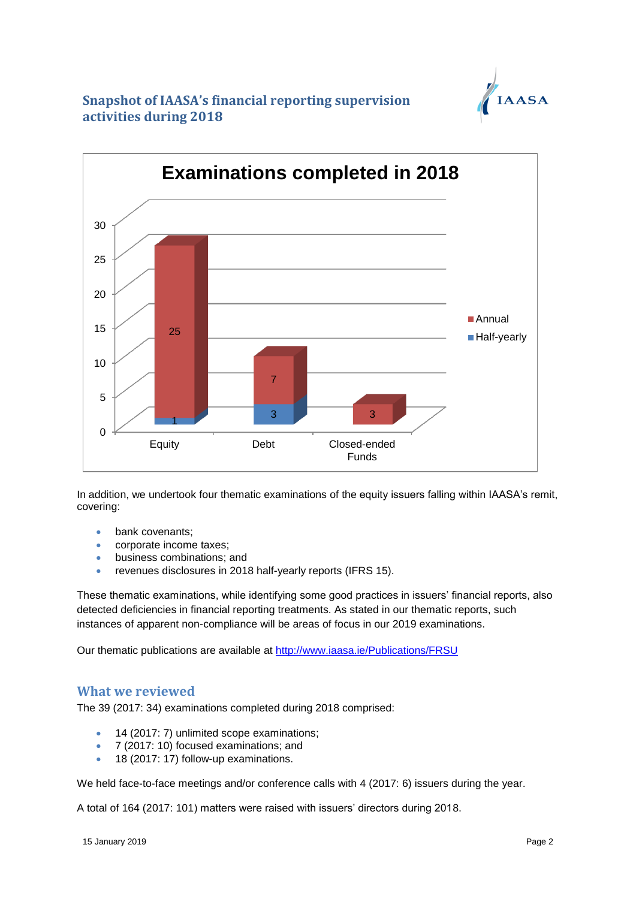



In addition, we undertook four thematic examinations of the equity issuers falling within IAASA's remit, covering:

- bank covenants;
- corporate income taxes;
- business combinations; and
- revenues disclosures in 2018 half-yearly reports (IFRS 15).

These thematic examinations, while identifying some good practices in issuers' financial reports, also detected deficiencies in financial reporting treatments. As stated in our thematic reports, such instances of apparent non-compliance will be areas of focus in our 2019 examinations.

Our thematic publications are available at<http://www.iaasa.ie/Publications/FRSU>

### **What we reviewed**

The 39 (2017: 34) examinations completed during 2018 comprised:

- 14 (2017: 7) unlimited scope examinations;
- 7 (2017: 10) focused examinations; and
- 18 (2017: 17) follow-up examinations.

We held face-to-face meetings and/or conference calls with 4 (2017: 6) issuers during the year.

A total of 164 (2017: 101) matters were raised with issuers' directors during 2018.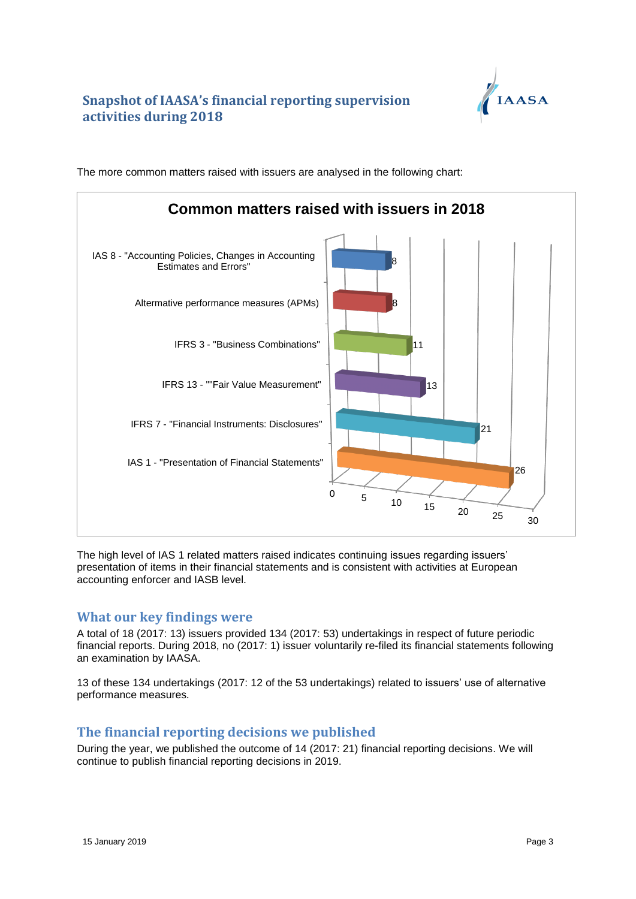

 $\Omega$ 5  $10 \t 15 \t 20 \t 25 \t 30$ IAS 1 - "Presentation of Financial Statements" IFRS 7 - "Financial Instruments: Disclosures" IFRS 13 - ""Fair Value Measurement" IFRS 3 - "Business Combinations" Altermative performance measures (APMs) IAS 8 - "Accounting Policies, Changes in Accounting Estimates and Errors" 26 21 13 11 8 8 **Common matters raised with issuers in 2018**

The more common matters raised with issuers are analysed in the following chart:

The high level of IAS 1 related matters raised indicates continuing issues regarding issuers' presentation of items in their financial statements and is consistent with activities at European accounting enforcer and IASB level.

### **What our key findings were**

A total of 18 (2017: 13) issuers provided 134 (2017: 53) undertakings in respect of future periodic financial reports. During 2018, no (2017: 1) issuer voluntarily re-filed its financial statements following an examination by IAASA.

13 of these 134 undertakings (2017: 12 of the 53 undertakings) related to issuers' use of alternative performance measures*.* 

### **The financial reporting decisions we published**

During the year, we published the outcome of 14 (2017: 21) financial reporting decisions. We will continue to publish financial reporting decisions in 2019.